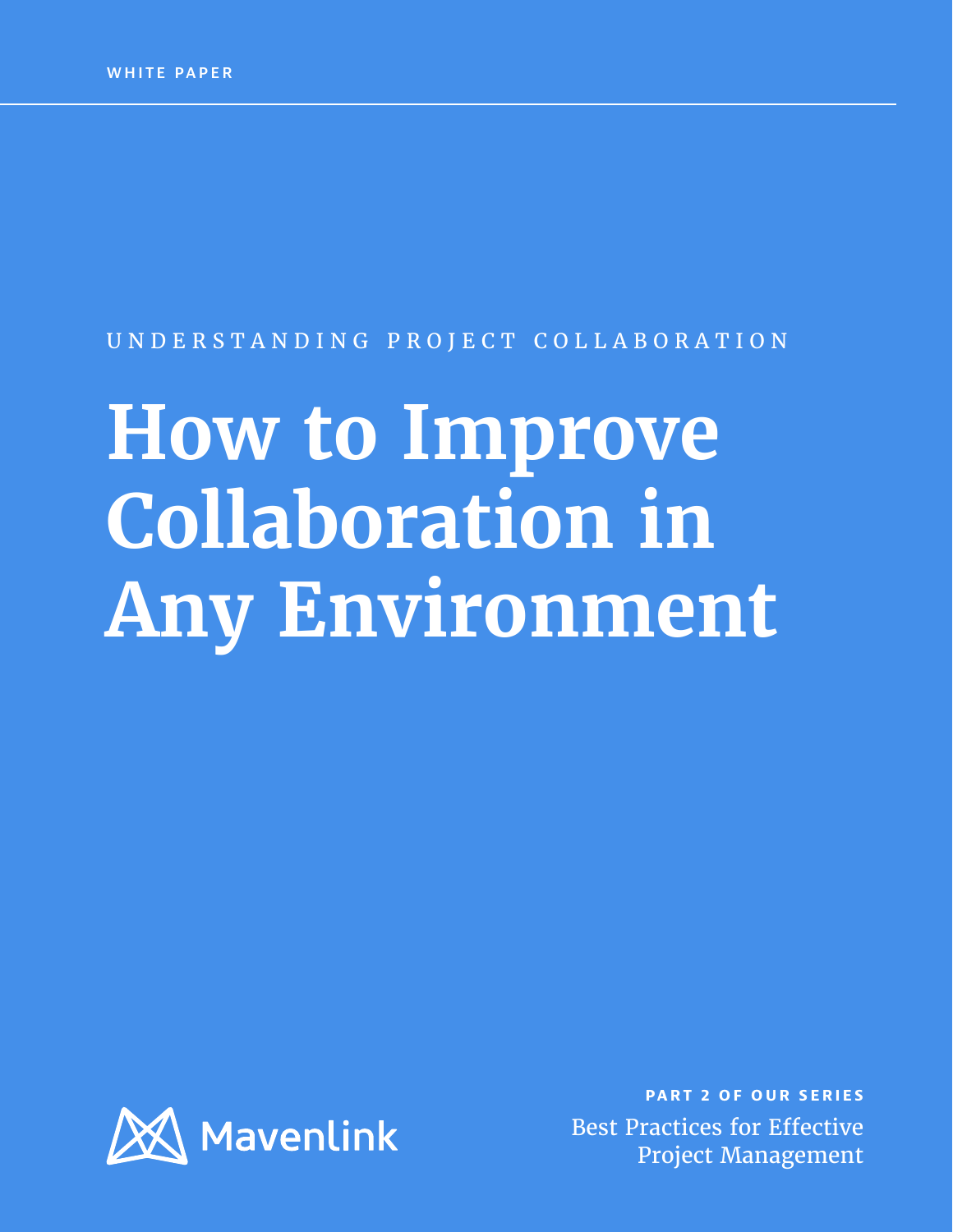#### UNDERSTANDING PROJECT COLLABORATION

# **How to Improve Collaboration in Any Environment**



**PART 2 OF OUR SERIES** Best Practices for Effective Project Management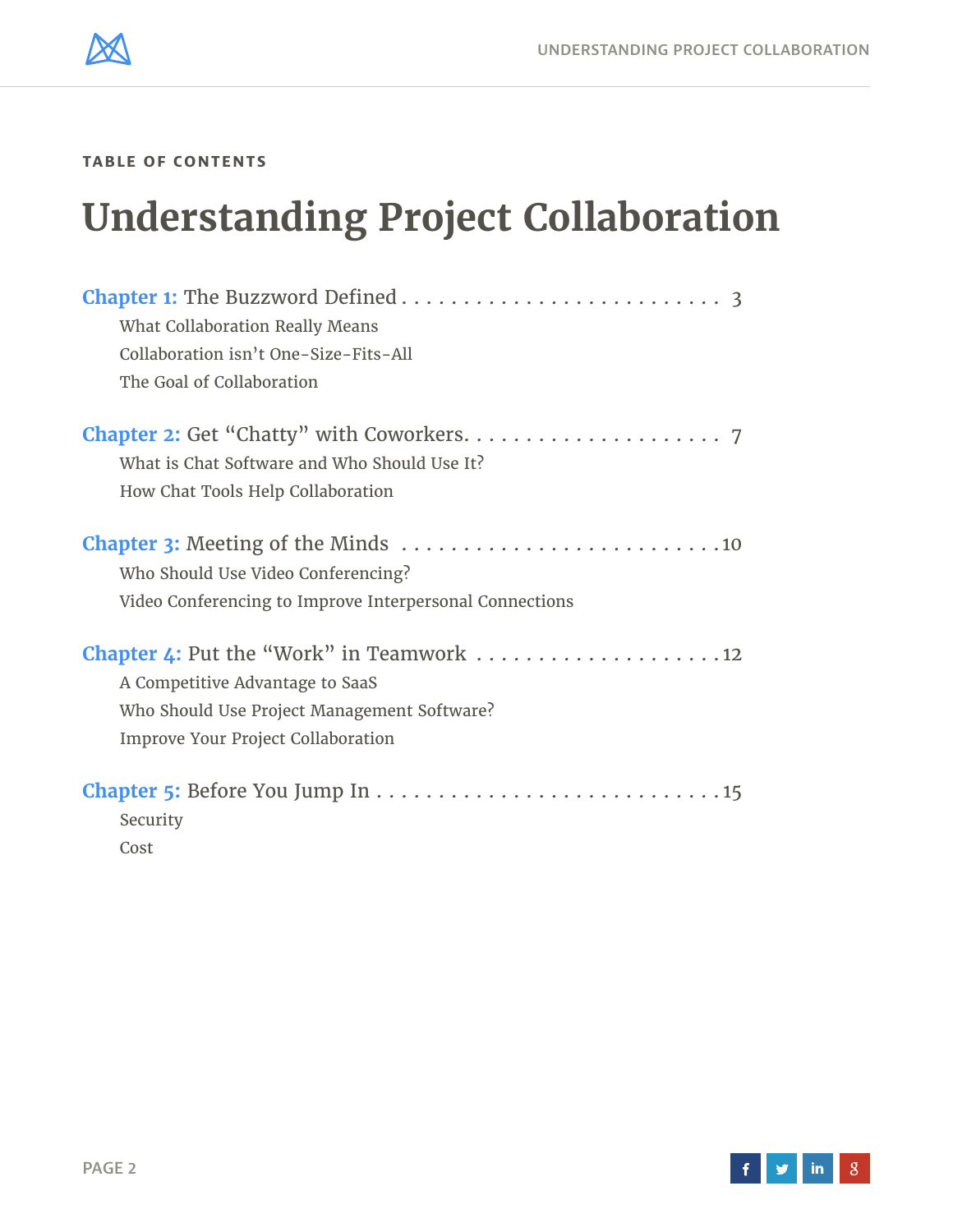**TABLE OF CONTENTS**

# **Understanding Project Collaboration**

| What Collaboration Really Means                         |
|---------------------------------------------------------|
| Collaboration isn't One-Size-Fits-All                   |
| The Goal of Collaboration                               |
|                                                         |
| What is Chat Software and Who Should Use It?            |
| How Chat Tools Help Collaboration                       |
|                                                         |
| Who Should Use Video Conferencing?                      |
| Video Conferencing to Improve Interpersonal Connections |
|                                                         |
| A Competitive Advantage to SaaS                         |
| Who Should Use Project Management Software?             |
| <b>Improve Your Project Collaboration</b>               |
|                                                         |
| Security                                                |
| Cost                                                    |



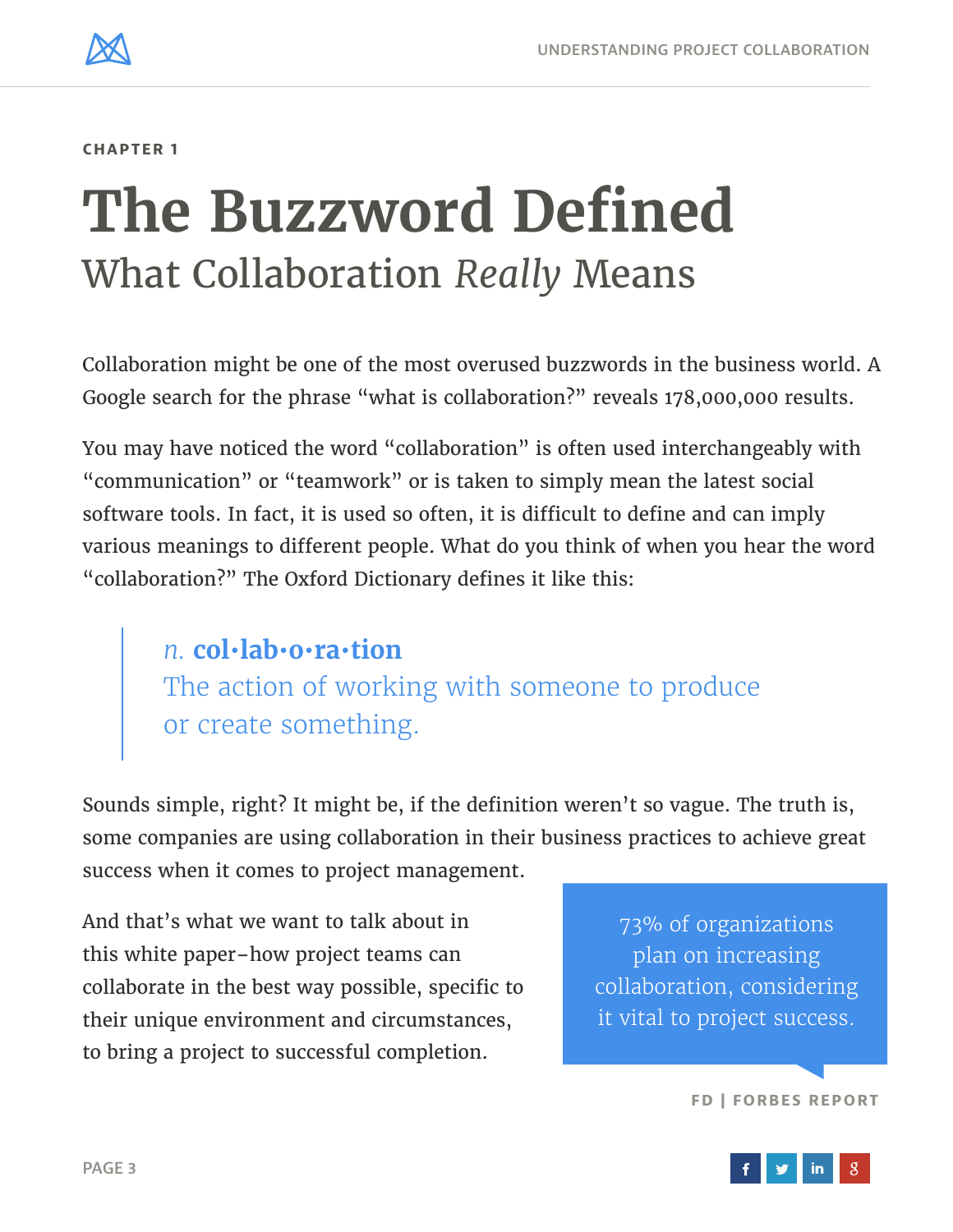<span id="page-2-0"></span>

# **The Buzzword Defined** What Collaboration *Really* Means

Collaboration might be one of the most overused buzzwords in the business world. A Google search for the phrase "what is collaboration?" reveals 178,000,000 results.

You may have noticed the word "collaboration" is often used interchangeably with "communication" or "teamwork" or is taken to simply mean the latest social software tools. In fact, it is used so often, it is difficult to define and can imply various meanings to different people. What do you think of when you hear the word "collaboration?" The Oxford Dictionary defines it like this:

> *n.* **col•lab•o•ra•tion** The action of working with someone to produce or create something.

Sounds simple, right? It might be, if the definition weren't so vague. The truth is, some companies are using collaboration in their business practices to achieve great success when it comes to project management.

And that's what we want to talk about in this white paper–how project teams can collaborate in the best way possible, specific to their unique environment and circumstances, to bring a project to successful completion.

73% of organizations plan on increasing collaboration, considering it vital to project success.

#### **[FD | FORBES REPORT](http://prfirms.org/wp-content/uploads/2011/05/FD+Forbes+Strategic+Initiatives+Whitepaper+Final+032311.pdf)**

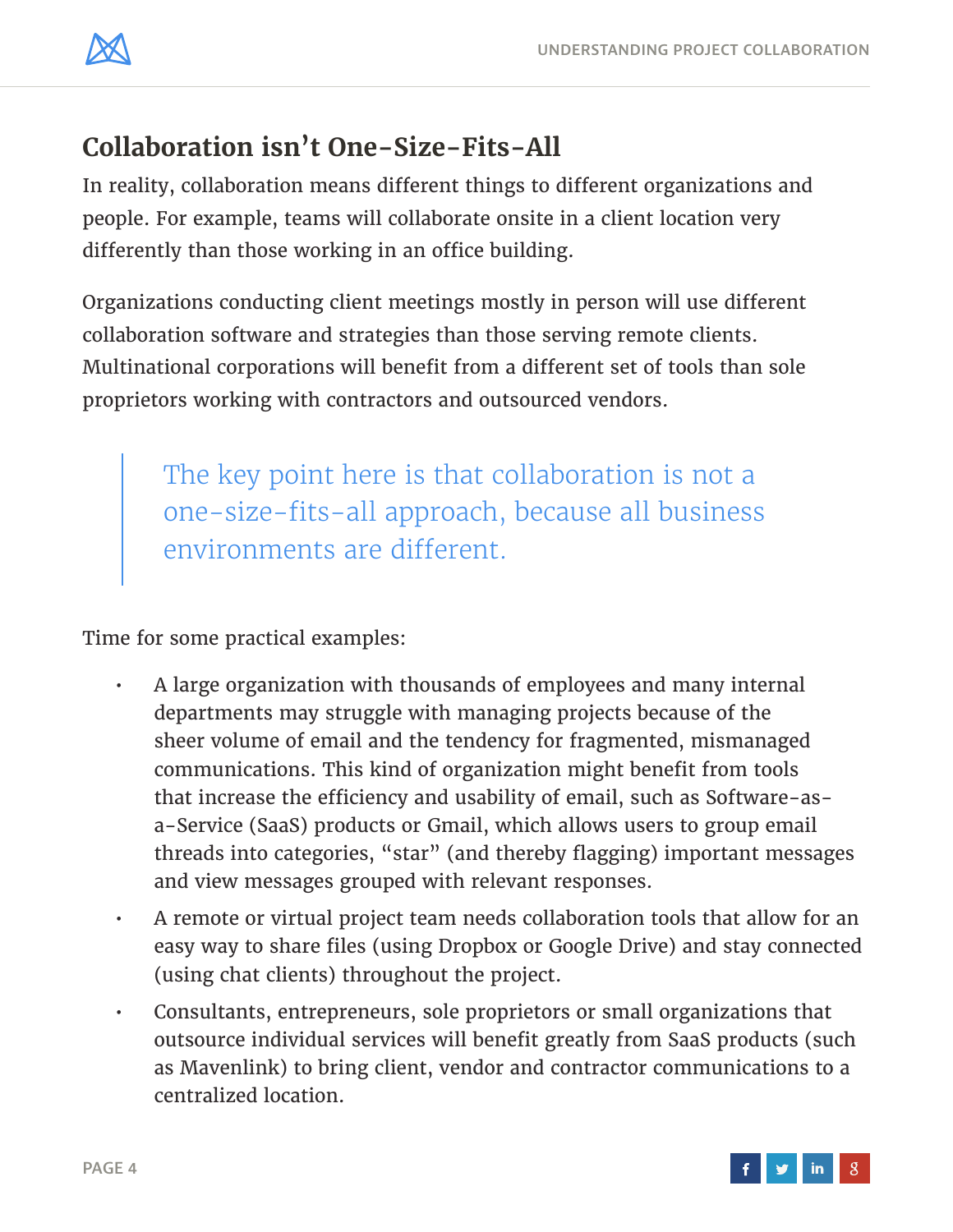

# **Collaboration isn't One-Size-Fits-All**

In reality, collaboration means different things to different organizations and people. For example, teams will collaborate onsite in a client location very differently than those working in an office building.

Organizations conducting client meetings mostly in person will use different collaboration software and strategies than those serving remote clients. Multinational corporations will benefit from a different set of tools than sole proprietors working with contractors and outsourced vendors.

> The key point here is that collaboration is not a one-size-fits-all approach, because all business environments are different.

Time for some practical examples:

- A large organization with thousands of employees and many internal departments may struggle with managing projects because of the sheer volume of email and the tendency for fragmented, mismanaged communications. This kind of organization might benefit from tools that increase the efficiency and usability of email, such as Software-asa-Service (SaaS) products or Gmail, which allows users to group email threads into categories, "star" (and thereby flagging) important messages and view messages grouped with relevant responses.
- A remote or virtual project team needs collaboration tools that allow for an easy way to share files (using Dropbox or Google Drive) and stay connected (using chat clients) throughout the project.
- Consultants, entrepreneurs, sole proprietors or small organizations that outsource individual services will benefit greatly from SaaS products (such as Mavenlink) to bring client, vendor and contractor communications to a centralized location.

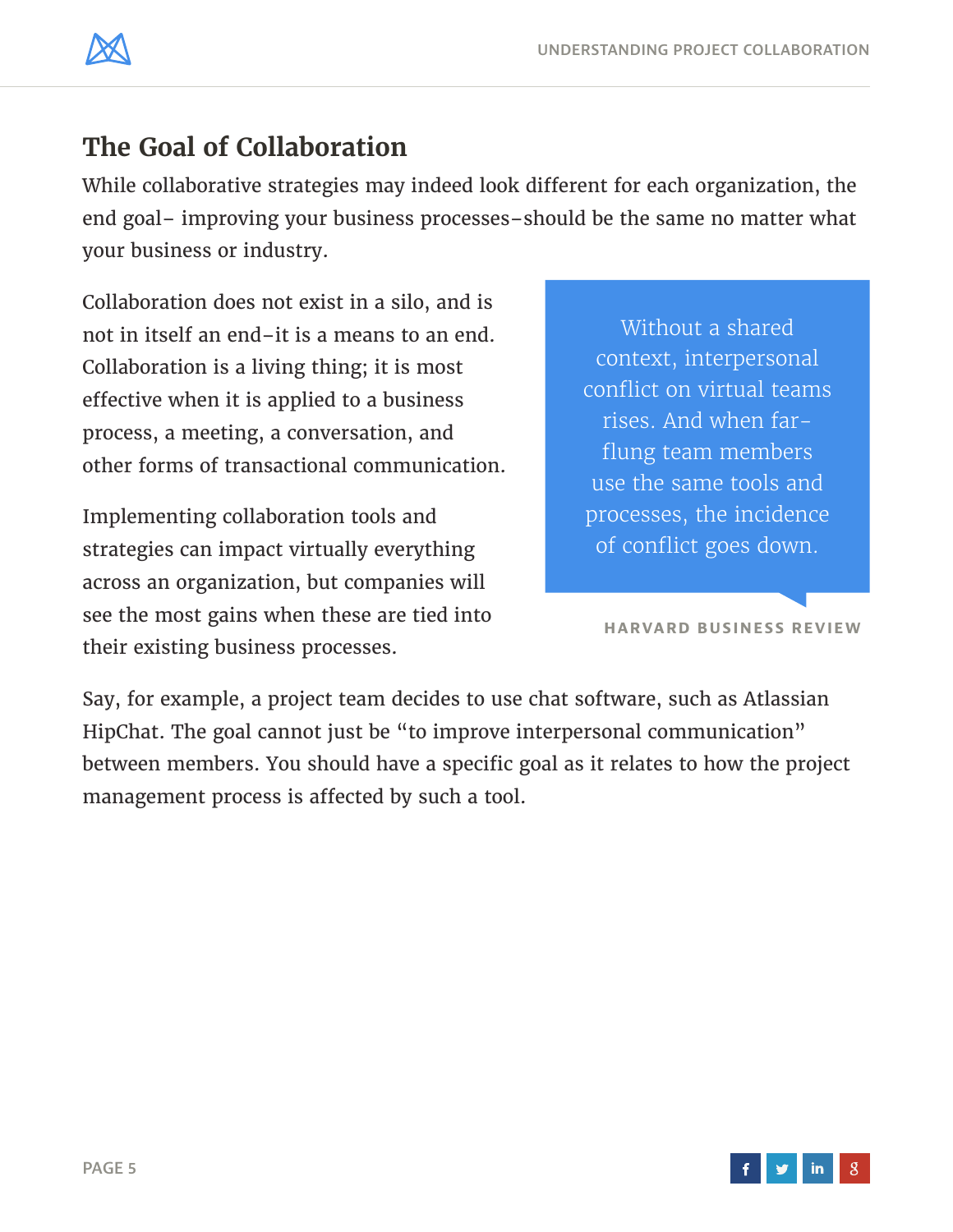

# **The Goal of Collaboration**

While collaborative strategies may indeed look different for each organization, the end goal– improving your business processes–should be the same no matter what your business or industry.

Collaboration does not exist in a silo, and is not in itself an end–it is a means to an end. Collaboration is a living thing; it is most effective when it is applied to a business process, a meeting, a conversation, and other forms of transactional communication.

Implementing collaboration tools and strategies can impact virtually everything across an organization, but companies will see the most gains when these are tied into their existing business processes.

Without a shared context, interpersonal conflict on virtual teams rises. And when farflung team members use the same tools and processes, the incidence of conflict goes down.

**[HARVARD BUSINESS REVIEW](http://blogs.hbr.org/2014/06/4-ways-to-decrease-conflict-within-global-teams/)**

Say, for example, a project team decides to use chat software, such as Atlassian HipChat. The goal cannot just be "to improve interpersonal communication" between members. You should have a specific goal as it relates to how the project management process is affected by such a tool.

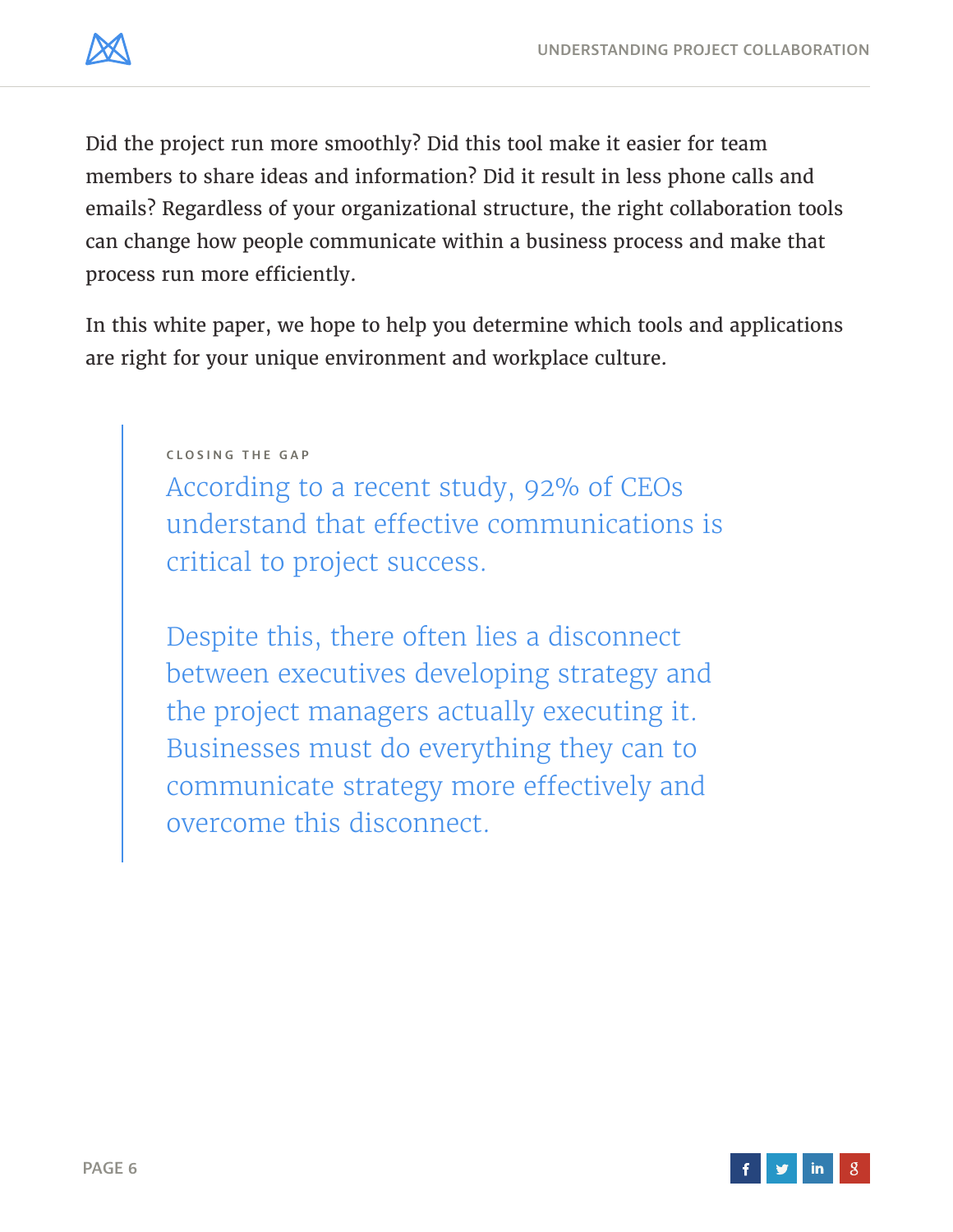

Did the project run more smoothly? Did this tool make it easier for team members to share ideas and information? Did it result in less phone calls and emails? Regardless of your organizational structure, the right collaboration tools can change how people communicate within a business process and make that process run more efficiently.

In this white paper, we hope to help you determine which tools and applications are right for your unique environment and workplace culture.

**CLOSING THE GAP**

According to a recent study, 92% of CEOs understand that effective communications is critical to project success.

Despite this, there often lies a disconnect between executives developing strategy and the project managers actually executing it. Businesses must do everything they can to communicate strategy more effectively and overcome this disconnect.

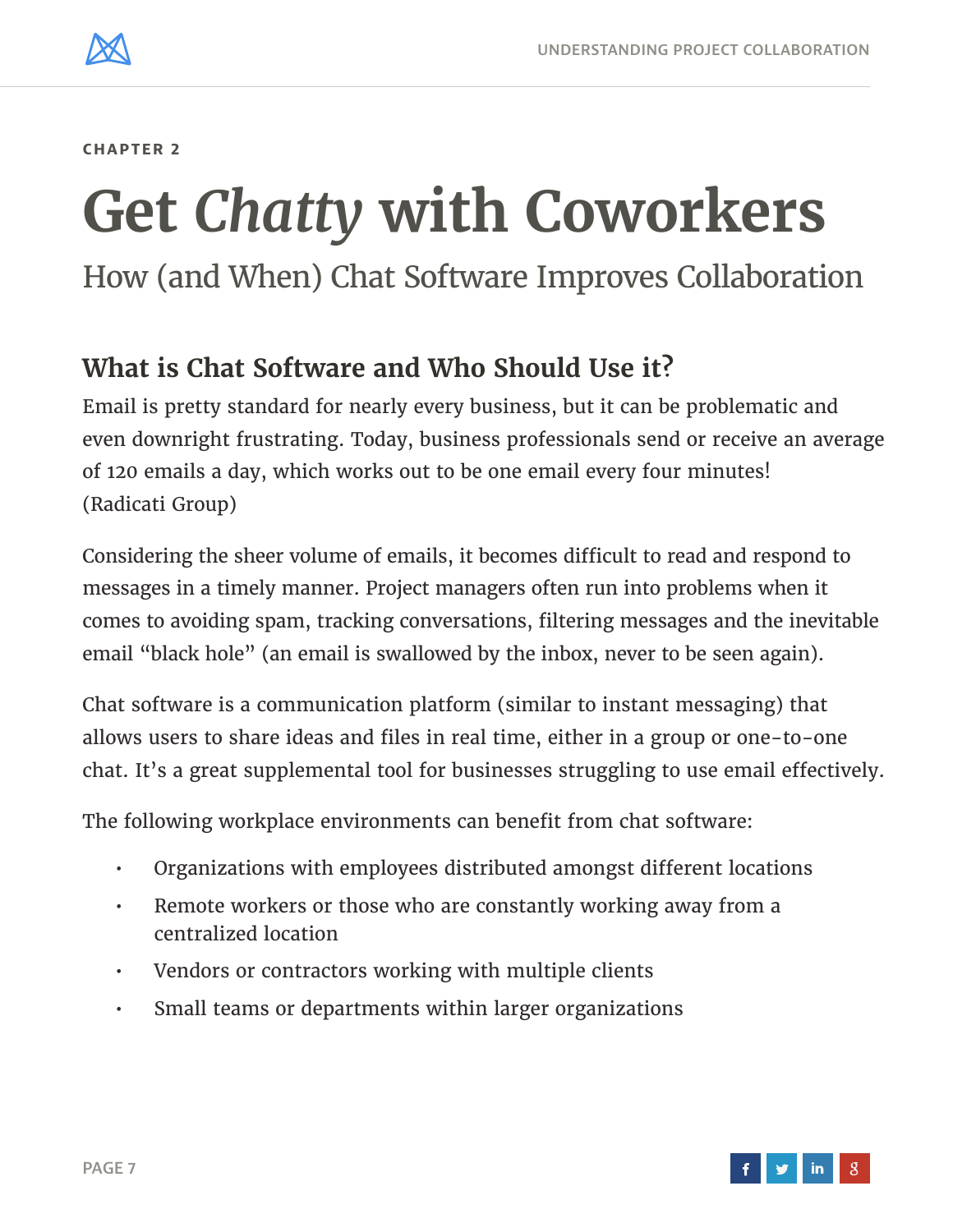<span id="page-6-0"></span>

# **Get** *Chatty* **with Coworkers**

How (and When) Chat Software Improves Collaboration

## **What is Chat Software and Who Should Use it?**

Email is pretty standard for nearly every business, but it can be problematic and even downright frustrating. Today, business professionals send or receive an average of 120 emails a day, which works out to be one email every four minutes! ([Radicati Group](http://www.radicati.com/?page_id=46))

Considering the sheer volume of emails, it becomes difficult to read and respond to messages in a timely manner. Project managers often run into problems when it comes to avoiding spam, tracking conversations, filtering messages and the inevitable email "black hole" (an email is swallowed by the inbox, never to be seen again).

Chat software is a communication platform (similar to instant messaging) that allows users to share ideas and files in real time, either in a group or one-to-one chat. It's a great supplemental tool for businesses struggling to use email effectively.

The following workplace environments can benefit from chat software:

- Organizations with employees distributed amongst different locations
- Remote workers or those who are constantly working away from a centralized location
- Vendors or contractors working with multiple clients
- Small teams or departments within larger organizations

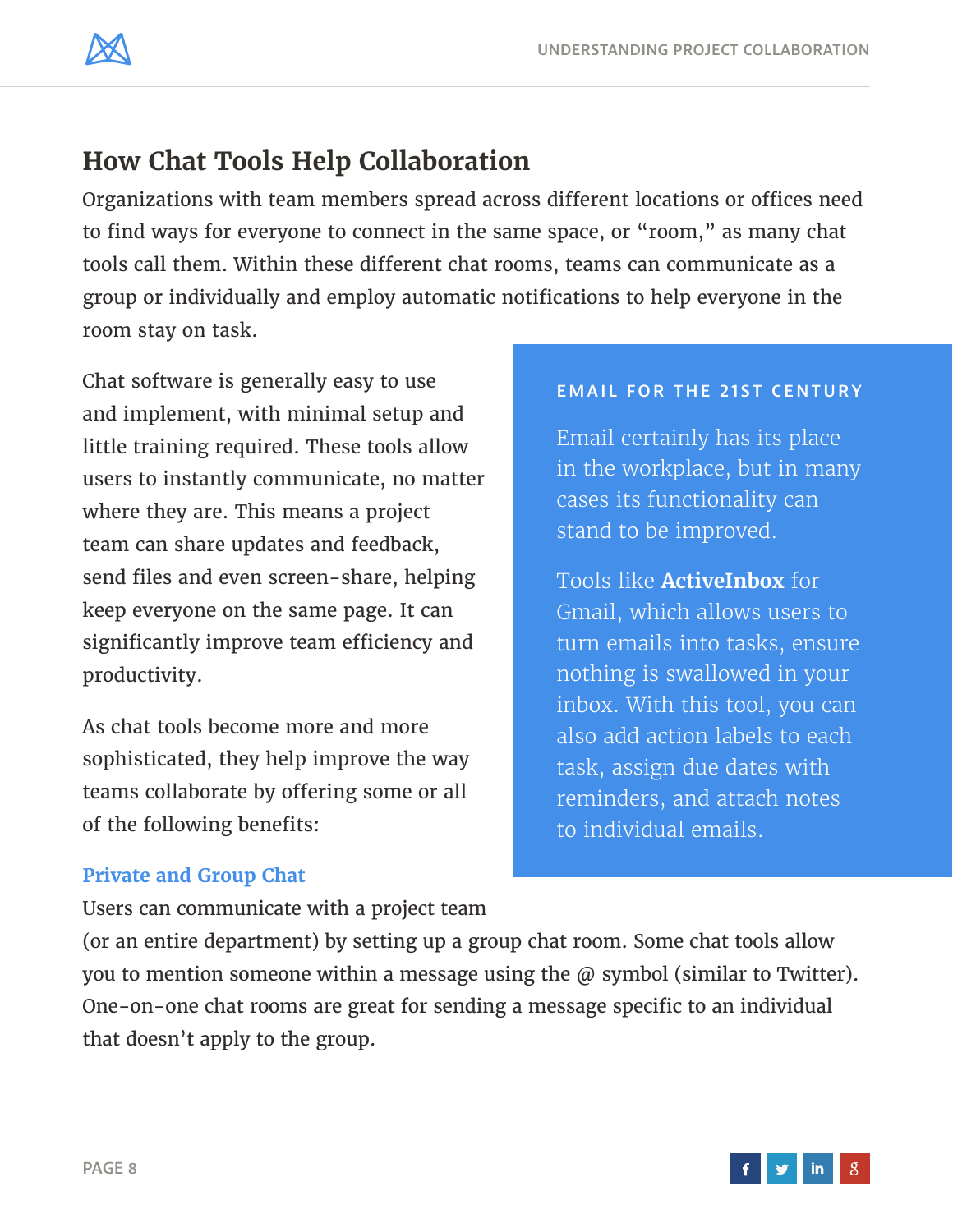

# **How Chat Tools Help Collaboration**

Organizations with team members spread across different locations or offices need to find ways for everyone to connect in the same space, or "room," as many chat tools call them. Within these different chat rooms, teams can communicate as a group or individually and employ automatic notifications to help everyone in the room stay on task.

Chat software is generally easy to use and implement, with minimal setup and little training required. These tools allow users to instantly communicate, no matter where they are. This means a project team can share updates and feedback, send files and even screen-share, helping keep everyone on the same page. It can significantly improve team efficiency and productivity.

As chat tools become more and more sophisticated, they help improve the way teams collaborate by offering some or all of the following benefits:

#### **EMAIL FOR THE 21ST CENTURY**

Email certainly has its place in the workplace, but in many cases its functionality can stand to be improved.

Tools like **[ActiveInbox](http://www.activeinboxhq.com/index.php)** for Gmail, which allows users to turn emails into tasks, ensure nothing is swallowed in your inbox. With this tool, you can also add action labels to each task, assign due dates with reminders, and attach notes to individual emails.

#### **Private and Group Chat**

Users can communicate with a project team

(or an entire department) by setting up a group chat room. Some chat tools allow you to mention someone within a message using the  $\varpi$  symbol (similar to Twitter). One-on-one chat rooms are great for sending a message specific to an individual that doesn't apply to the group.

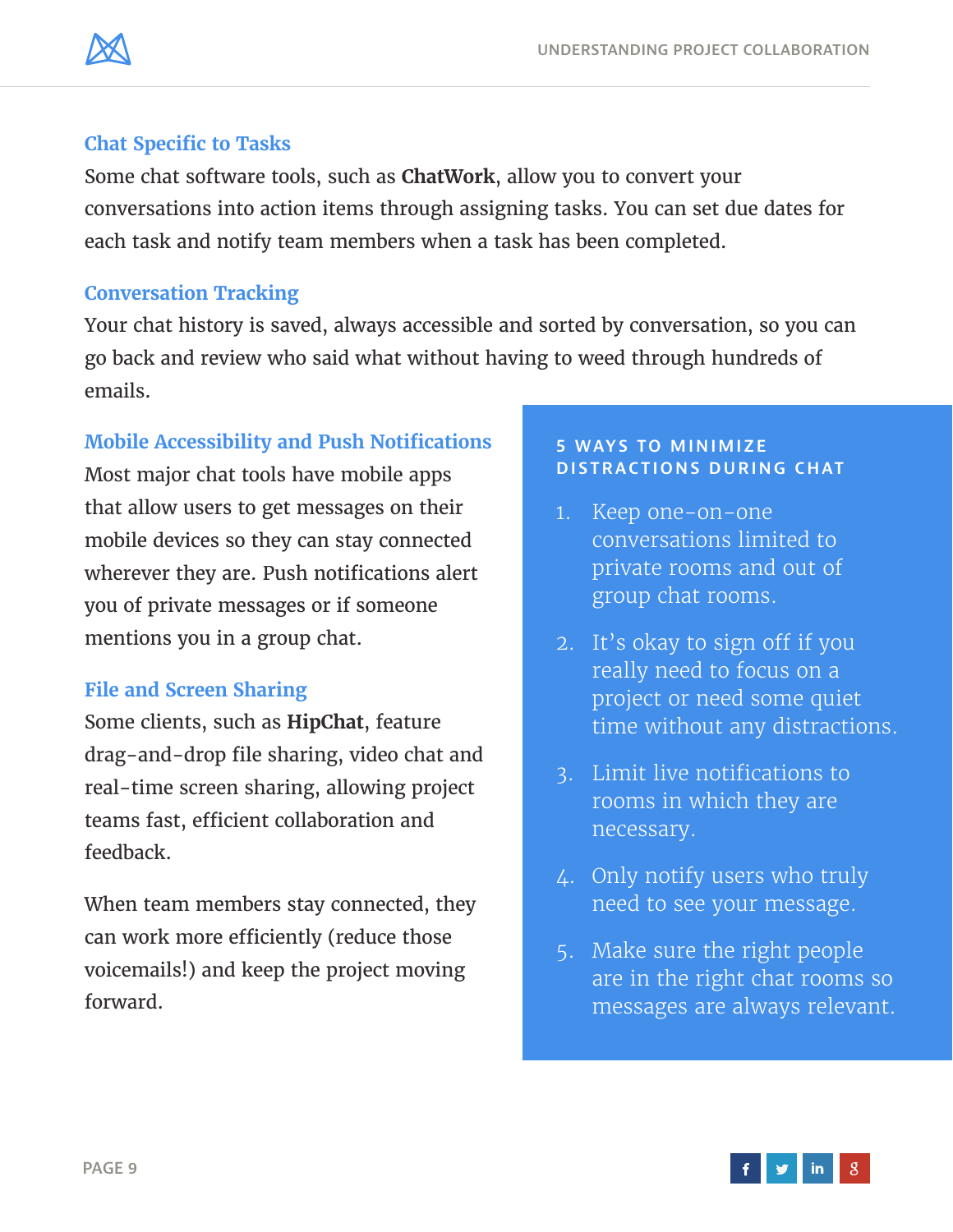

#### **Chat Specific to Tasks**

Some chat software tools, such as **[ChatWork](http://www.chatwork.com/)**, allow you to convert your conversations into action items through assigning tasks. You can set due dates for each task and notify team members when a task has been completed.

#### **Conversation Tracking**

Your chat history is saved, always accessible and sorted by conversation, so you can go back and review who said what without having to weed through hundreds of emails.

#### **Mobile Accessibility and Push Notifications**

Most major chat tools have mobile apps that allow users to get messages on their mobile devices so they can stay connected wherever they are. Push notifications alert you of private messages or if someone mentions you in a group chat.

#### **File and Screen Sharing**

Some clients, such as **[HipChat](https://www.hipchat.com/)**, feature drag-and-drop file sharing, video chat and real-time screen sharing, allowing project teams fast, efficient collaboration and feedback.

When team members stay connected, they can work more efficiently (reduce those voicemails!) and keep the project moving forward.

#### **5 WAYS TO MINIMIZE DISTRACTIONS DURING CHAT**

- 1. Keep one-on-one conversations limited to private rooms and out of group chat rooms.
- 2. It's okay to sign off if you really need to focus on a project or need some quiet time without any distractions.
- 3. Limit live notifications to rooms in which they are necessary.
- 4. Only notify users who truly need to see your message.
- 5. Make sure the right people are in the right chat rooms so messages are always relevant.

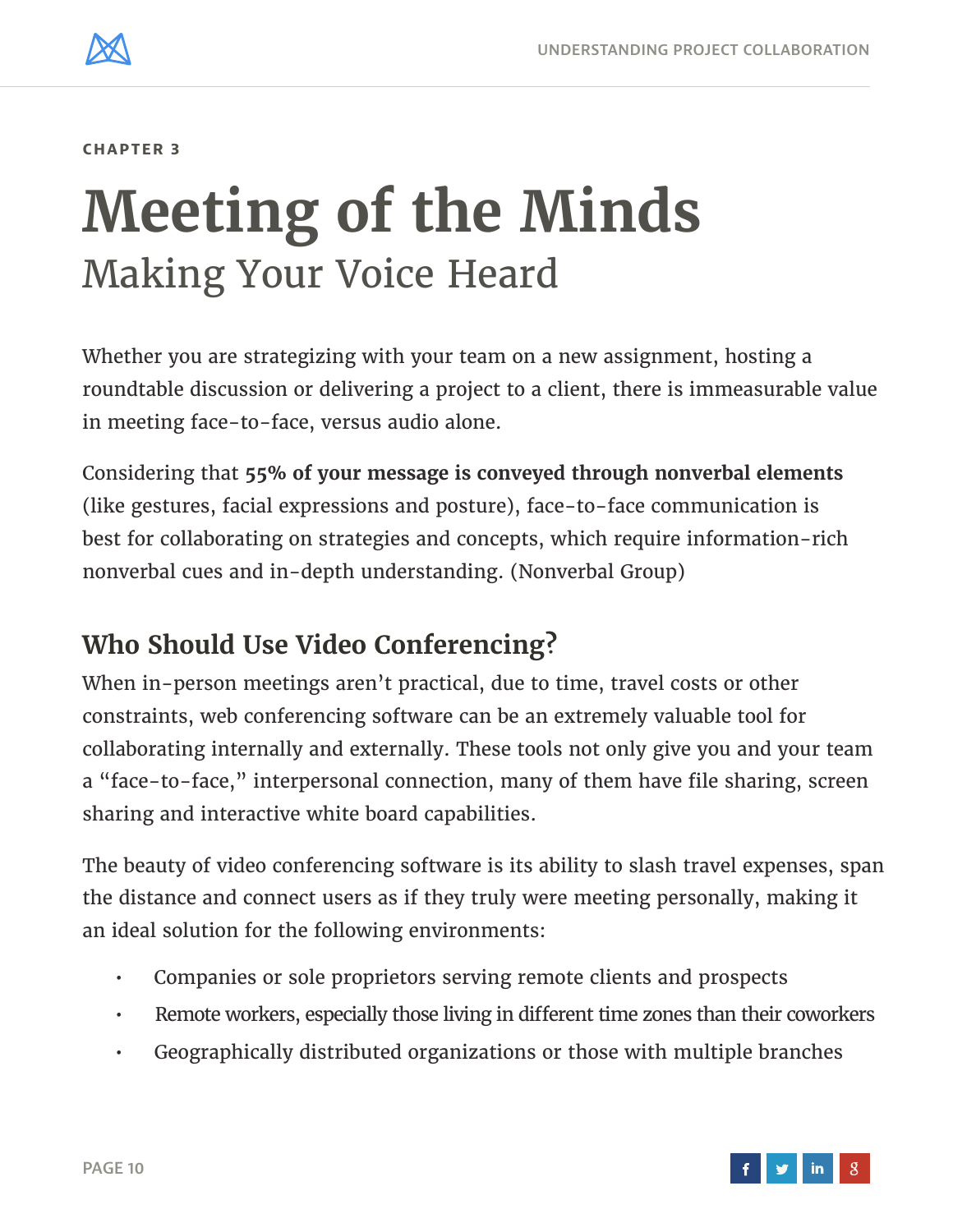<span id="page-9-0"></span>

# **Meeting of the Minds** Making Your Voice Heard

Whether you are strategizing with your team on a new assignment, hosting a roundtable discussion or delivering a project to a client, there is immeasurable value in meeting face-to-face, versus audio alone.

Considering that **[55% of your message is conveyed through nonverbal elements](http://www.nonverbalgroup.com/)** (like gestures, facial expressions and posture), face-to-face communication is best for collaborating on strategies and concepts, which require information-rich nonverbal cues and in-depth understanding. [\(Nonverbal Group](http://www.nonverbalgroup.com/))

# **Who Should Use Video Conferencing?**

When in-person meetings aren't practical, due to time, travel costs or other constraints, web conferencing software can be an extremely valuable tool for collaborating internally and externally. These tools not only give you and your team a "face-to-face," interpersonal connection, many of them have file sharing, screen sharing and interactive white board capabilities.

The beauty of video conferencing software is its ability to slash travel expenses, span the distance and connect users as if they truly were meeting personally, making it an ideal solution for the following environments:

- Companies or sole proprietors serving remote clients and prospects
- Remote workers, especially those living in different time zones than their coworkers
- Geographically distributed organizations or those with multiple branches

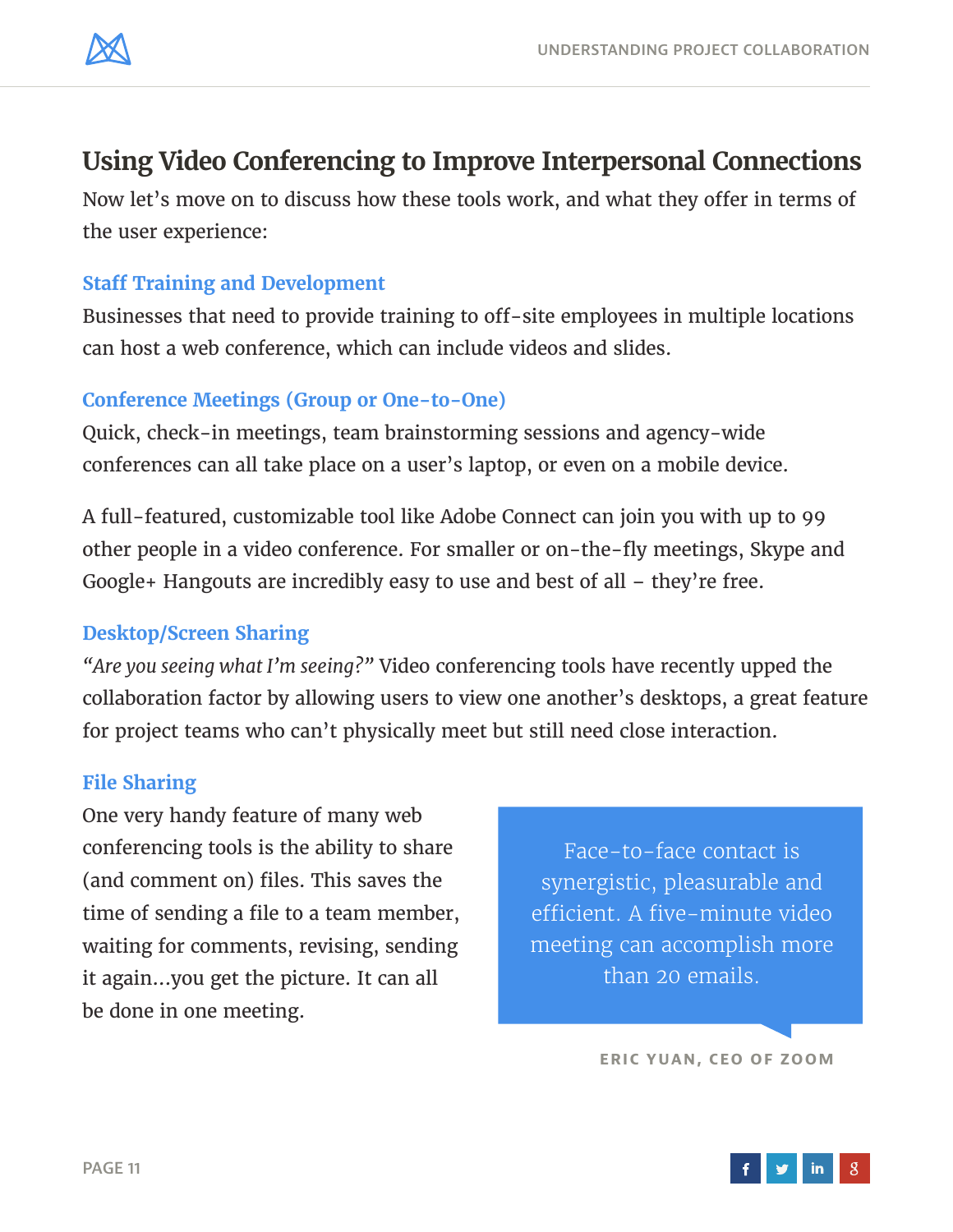

### **Using Video Conferencing to Improve Interpersonal Connections**

Now let's move on to discuss how these tools work, and what they offer in terms of the user experience:

#### **Staff Training and Development**

Businesses that need to provide training to off-site employees in multiple locations can host a web conference, which can include videos and slides.

#### **Conference Meetings (Group or One-to-One)**

Quick, check-in meetings, team brainstorming sessions and agency-wide conferences can all take place on a user's laptop, or even on a mobile device.

A full-featured, customizable tool like Adobe Connect can join you with up to 99 other people in a video conference. For smaller or on-the-fly meetings, Skype and Google+ Hangouts are incredibly easy to use and best of all – they're free.

#### **Desktop/Screen Sharing**

*"Are you seeing what I'm seeing?"* Video conferencing tools have recently upped the collaboration factor by allowing users to view one another's desktops, a great feature for project teams who can't physically meet but still need close interaction.

#### **File Sharing**

One very handy feature of many web conferencing tools is the ability to share (and comment on) files. This saves the time of sending a file to a team member, waiting for comments, revising, sending it again...you get the picture. It can all be done in one meeting.

Face-to-face contact is synergistic, pleasurable and efficient. A five-minute video meeting can accomplish more than 20 emails.

**[ERIC YUAN, CEO OF ZOOM](https://www.zoom.us/)**

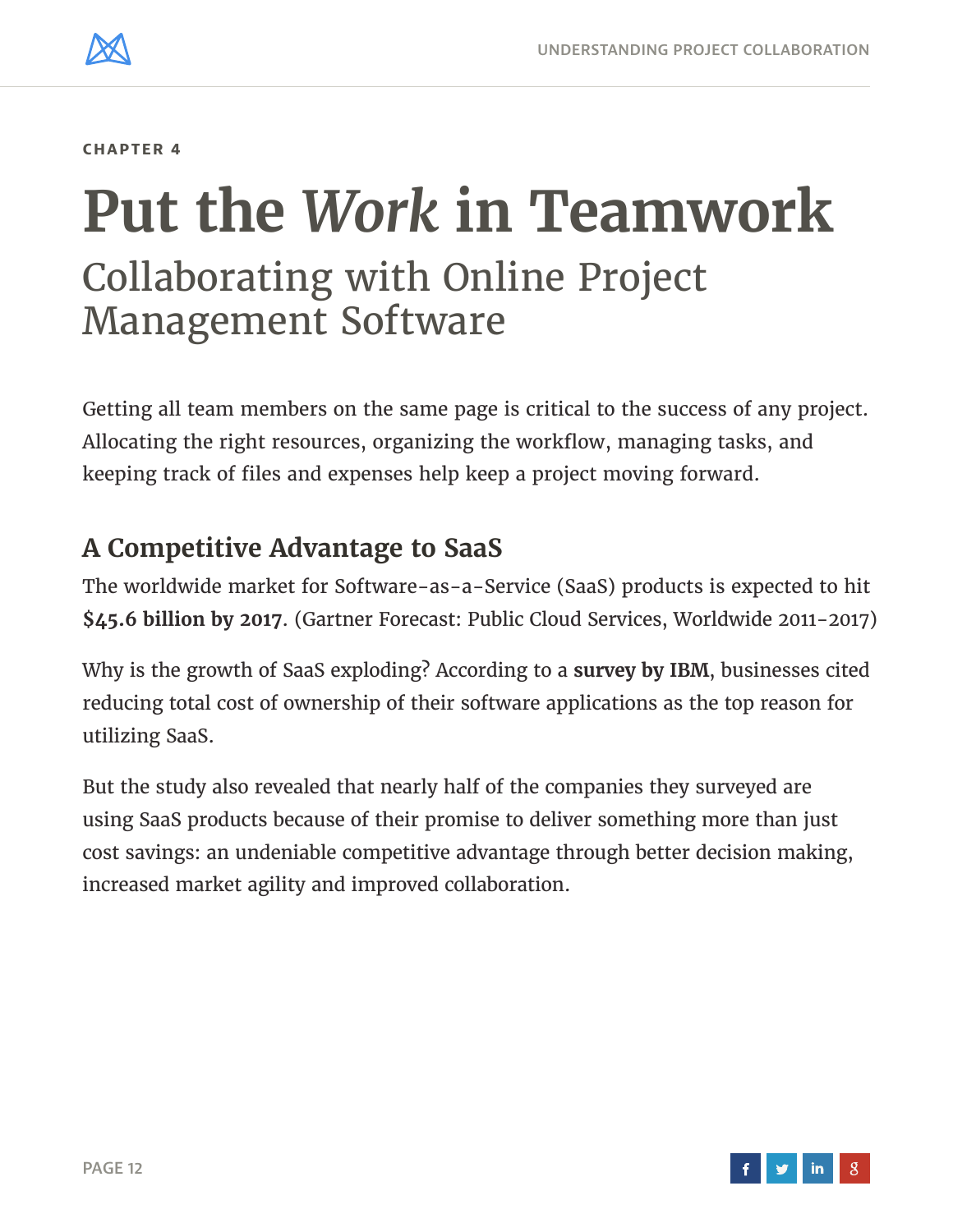<span id="page-11-0"></span>

# **Put the** *Work* **in Teamwork** Collaborating with Online Project Management Software

Getting all team members on the same page is critical to the success of any project. Allocating the right resources, organizing the workflow, managing tasks, and keeping track of files and expenses help keep a project moving forward.

### **A Competitive Advantage to SaaS**

The worldwide market for Software-as-a-Service (SaaS) products is expected to hit **\$45.6 billion by 2017**. (Gartner Forecast: Public Cloud Services, Worldwide 2011-2017)

Why is the growth of SaaS exploding? According to a **[survey by IBM](http://public.dhe.ibm.com/common/ssi/ecm/en/cim12346usen/CIM12346USEN.PDF)**, businesses cited reducing total cost of ownership of their software applications as the top reason for utilizing SaaS.

But the study also revealed that nearly half of the companies they surveyed are using SaaS products because of their promise to deliver something more than just cost savings: an undeniable competitive advantage through better decision making, increased market agility and improved collaboration.

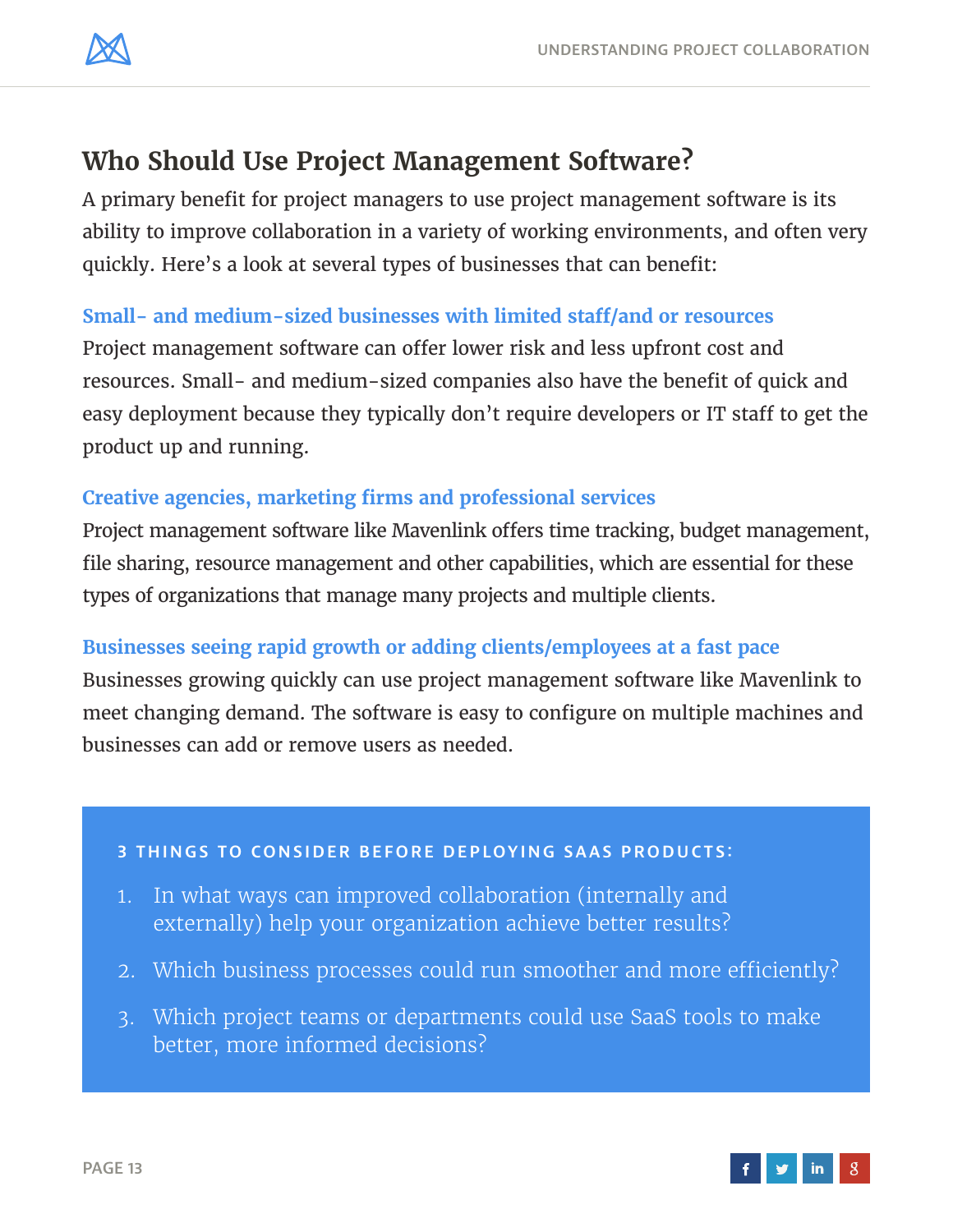

# **Who Should Use Project Management Software?**

A primary benefit for project managers to use project management software is its ability to improve collaboration in a variety of working environments, and often very quickly. Here's a look at several types of businesses that can benefit:

#### **Small- and medium-sized businesses with limited staff/and or resources**

Project management software can offer lower risk and less upfront cost and resources. Small- and medium-sized companies also have the benefit of quick and easy deployment because they typically don't require developers or IT staff to get the product up and running.

#### **Creative agencies, marketing firms and professional services**

Project management software like Mavenlink offers time tracking, budget management, file sharing, resource management and other capabilities, which are essential for these types of organizations that manage many projects and multiple clients.

#### **Businesses seeing rapid growth or adding clients/employees at a fast pace**

Businesses growing quickly can use project management software like Mavenlink to meet changing demand. The software is easy to configure on multiple machines and businesses can add or remove users as needed.

#### **3 THINGS TO CONSIDER BEFORE DEPLOYING SAAS PRODUCTS:**

- 1. In what ways can improved collaboration (internally and externally) help your organization achieve better results?
- 2. Which business processes could run smoother and more efficiently?
- 3. Which project teams or departments could use SaaS tools to make better, more informed decisions?

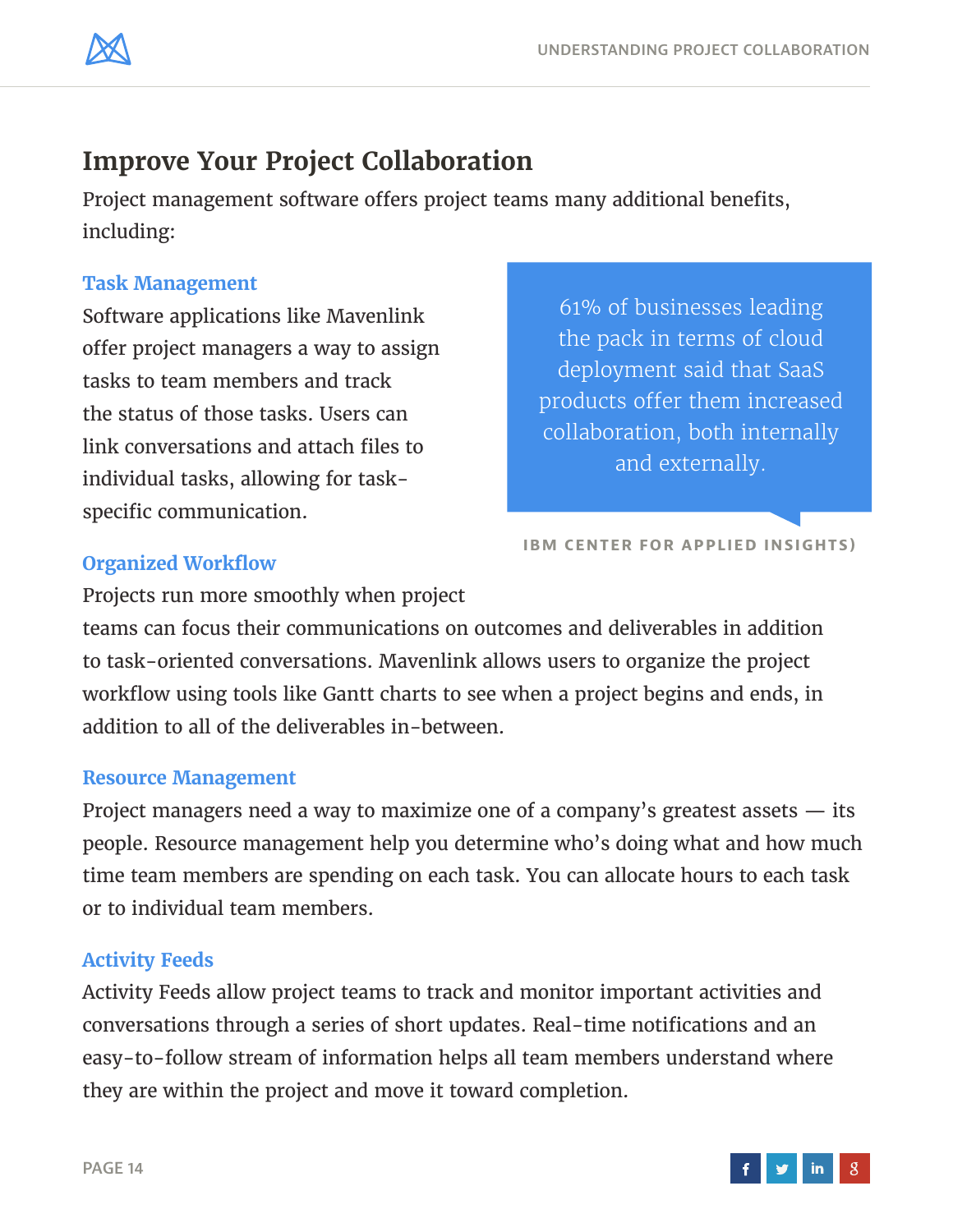

### **Improve Your Project Collaboration**

Project management software offers project teams many additional benefits, including:

#### **Task Management**

Software applications like Mavenlink offer project managers a way to assign tasks to team members and track the status of those tasks. Users can link conversations and attach files to individual tasks, allowing for taskspecific communication.

61% of businesses leading the pack in terms of cloud deployment said that SaaS products offer them increased collaboration, both internally and externally.

**[IBM CENTER FOR APPLIED INSIGHTS\)](http://public.dhe.ibm.com/common/ssi/ecm/en/cim12346usen/CIM12346USEN.PDF)**

#### **Organized Workflow**

Projects run more smoothly when project

teams can focus their communications on outcomes and deliverables in addition to task-oriented conversations. Mavenlink allows users to organize the project workflow using tools like Gantt charts to see when a project begins and ends, in addition to all of the deliverables in-between.

#### **Resource Management**

Project managers need a way to maximize one of a company's greatest assets — its people. Resource management help you determine who's doing what and how much time team members are spending on each task. You can allocate hours to each task or to individual team members.

#### **Activity Feeds**

Activity Feeds allow project teams to track and monitor important activities and conversations through a series of short updates. Real-time notifications and an easy-to-follow stream of information helps all team members understand where they are within the project and move it toward completion.

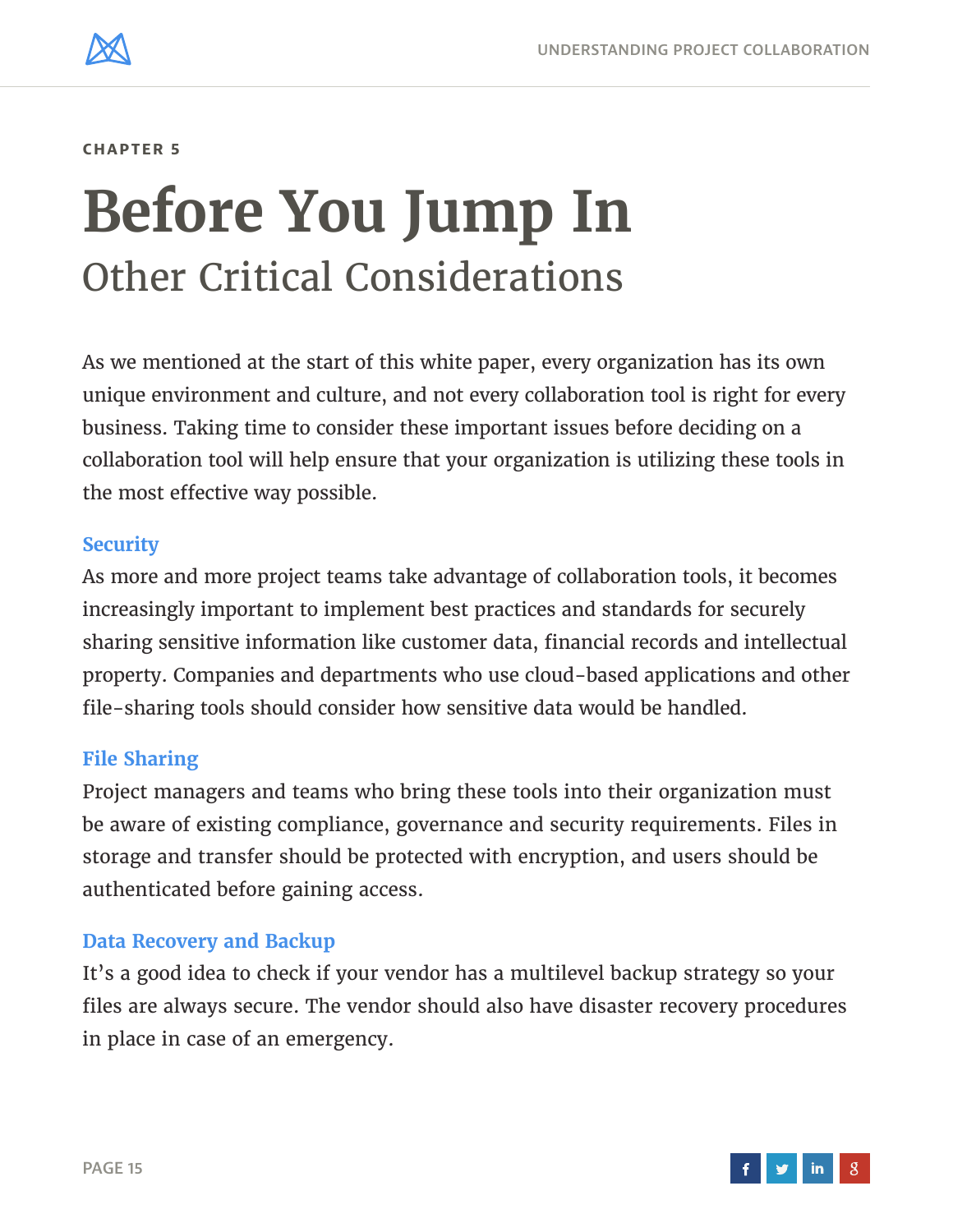<span id="page-14-0"></span>

# **Before You Jump In** Other Critical Considerations

As we mentioned at the start of this white paper, every organization has its own unique environment and culture, and not every collaboration tool is right for every business. Taking time to consider these important issues before deciding on a collaboration tool will help ensure that your organization is utilizing these tools in the most effective way possible.

#### **Security**

As more and more project teams take advantage of collaboration tools, it becomes increasingly important to implement best practices and standards for securely sharing sensitive information like customer data, financial records and intellectual property. Companies and departments who use cloud-based applications and other file-sharing tools should consider how sensitive data would be handled.

#### **File Sharing**

Project managers and teams who bring these tools into their organization must be aware of existing compliance, governance and security requirements. Files in storage and transfer should be protected with encryption, and users should be authenticated before gaining access.

#### **Data Recovery and Backup**

It's a good idea to check if your vendor has a multilevel backup strategy so your files are always secure. The vendor should also have disaster recovery procedures in place in case of an emergency.